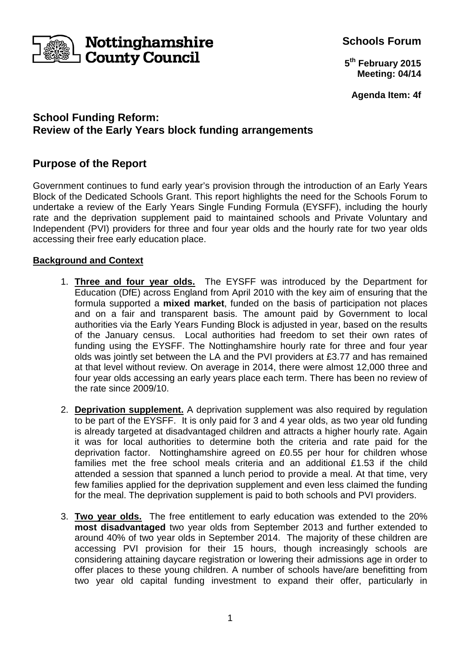

**Schools Forum**

**5 th February 2015 Meeting: 04/14**

**Agenda Item: 4f**

# **School Funding Reform: Review of the Early Years block funding arrangements**

# **Purpose of the Report**

Government continues to fund early year's provision through the introduction of an Early Years Block of the Dedicated Schools Grant. This report highlights the need for the Schools Forum to undertake a review of the Early Years Single Funding Formula (EYSFF), including the hourly rate and the deprivation supplement paid to maintained schools and Private Voluntary and Independent (PVI) providers for three and four year olds and the hourly rate for two year olds accessing their free early education place.

## **Background and Context**

- 1. **Three and four year olds.** The EYSFF was introduced by the Department for Education (DfE) across England from April 2010 with the key aim of ensuring that the formula supported a **mixed market**, funded on the basis of participation not places and on a fair and transparent basis. The amount paid by Government to local authorities via the Early Years Funding Block is adjusted in year, based on the results of the January census. Local authorities had freedom to set their own rates of funding using the EYSFF. The Nottinghamshire hourly rate for three and four year olds was jointly set between the LA and the PVI providers at £3.77 and has remained at that level without review. On average in 2014, there were almost 12,000 three and four year olds accessing an early years place each term. There has been no review of the rate since 2009/10.
- 2. **Deprivation supplement.** A deprivation supplement was also required by regulation to be part of the EYSFF. It is only paid for 3 and 4 year olds, as two year old funding is already targeted at disadvantaged children and attracts a higher hourly rate. Again it was for local authorities to determine both the criteria and rate paid for the deprivation factor. Nottinghamshire agreed on £0.55 per hour for children whose families met the free school meals criteria and an additional £1.53 if the child attended a session that spanned a lunch period to provide a meal. At that time, very few families applied for the deprivation supplement and even less claimed the funding for the meal. The deprivation supplement is paid to both schools and PVI providers.
- 3. **Two year olds.** The free entitlement to early education was extended to the 20% **most disadvantaged** two year olds from September 2013 and further extended to around 40% of two year olds in September 2014. The majority of these children are accessing PVI provision for their 15 hours, though increasingly schools are considering attaining daycare registration or lowering their admissions age in order to offer places to these young children. A number of schools have/are benefitting from two year old capital funding investment to expand their offer, particularly in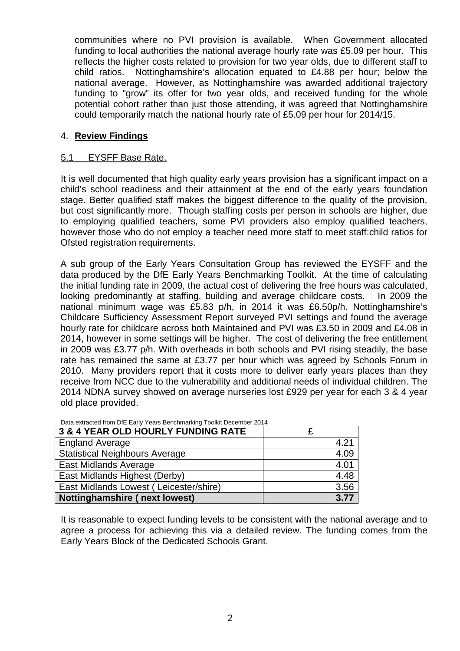communities where no PVI provision is available. When Government allocated funding to local authorities the national average hourly rate was £5.09 per hour. This reflects the higher costs related to provision for two year olds, due to different staff to child ratios. Nottinghamshire's allocation equated to £4.88 per hour; below the national average. However, as Nottinghamshire was awarded additional trajectory funding to "grow" its offer for two year olds, and received funding for the whole potential cohort rather than just those attending, it was agreed that Nottinghamshire could temporarily match the national hourly rate of £5.09 per hour for 2014/15.

## 4. **Review Findings**

## 5.1 EYSFF Base Rate.

It is well documented that high quality early years provision has a significant impact on a child's school readiness and their attainment at the end of the early years foundation stage. Better qualified staff makes the biggest difference to the quality of the provision, but cost significantly more. Though staffing costs per person in schools are higher, due to employing qualified teachers, some PVI providers also employ qualified teachers, however those who do not employ a teacher need more staff to meet staff:child ratios for Ofsted registration requirements.

A sub group of the Early Years Consultation Group has reviewed the EYSFF and the data produced by the DfE Early Years Benchmarking Toolkit. At the time of calculating the initial funding rate in 2009, the actual cost of delivering the free hours was calculated, looking predominantly at staffing, building and average childcare costs. In 2009 the national minimum wage was £5.83 p/h, in 2014 it was £6.50p/h. Nottinghamshire's Childcare Sufficiency Assessment Report surveyed PVI settings and found the average hourly rate for childcare across both Maintained and PVI was £3.50 in 2009 and £4.08 in 2014, however in some settings will be higher. The cost of delivering the free entitlement in 2009 was £3.77 p/h. With overheads in both schools and PVI rising steadily, the base rate has remained the same at £3.77 per hour which was agreed by Schools Forum in 2010. Many providers report that it costs more to deliver early years places than they receive from NCC due to the vulnerability and additional needs of individual children. The 2014 NDNA survey showed on average nurseries lost £929 per year for each 3 & 4 year old place provided.

| 3 & 4 YEAR OLD HOURLY FUNDING RATE     |      |
|----------------------------------------|------|
| <b>England Average</b>                 | 4.21 |
| <b>Statistical Neighbours Average</b>  | 4.09 |
| East Midlands Average                  | 4.01 |
| East Midlands Highest (Derby)          | 4.48 |
| East Midlands Lowest (Leicester/shire) | 3.56 |
| <b>Nottinghamshire (next lowest)</b>   | 3.77 |

Data extracted from DfE Early Years Benchmarking Toolkit December 2014

It is reasonable to expect funding levels to be consistent with the national average and to agree a process for achieving this via a detailed review. The funding comes from the Early Years Block of the Dedicated Schools Grant.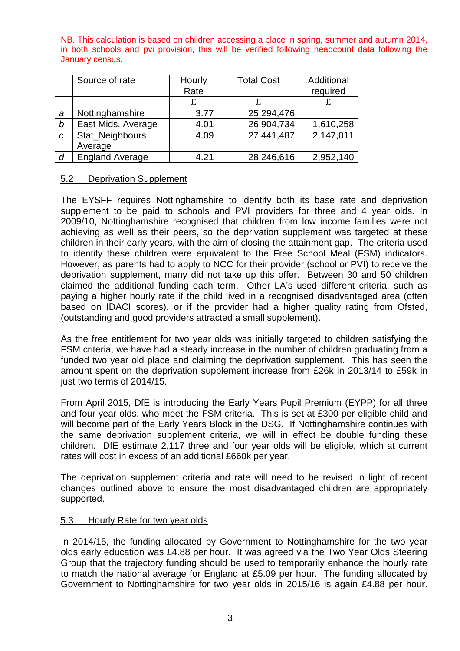NB. This calculation is based on children accessing a place in spring, summer and autumn 2014, in both schools and pvi provision, this will be verified following headcount data following the January census.

|                  | Source of rate         | Hourly | <b>Total Cost</b> | Additional |
|------------------|------------------------|--------|-------------------|------------|
|                  |                        | Rate   |                   | required   |
|                  |                        |        |                   |            |
| a                | Nottinghamshire        | 3.77   | 25,294,476        |            |
| b                | East Mids. Average     | 4.01   | 26,904,734        | 1,610,258  |
| $\mathcal C$     | Stat_Neighbours        | 4.09   | 27,441,487        | 2,147,011  |
|                  | Average                |        |                   |            |
| $\boldsymbol{d}$ | <b>England Average</b> | 4.21   | 28,246,616        | 2,952,140  |

### 5.2 Deprivation Supplement

The EYSFF requires Nottinghamshire to identify both its base rate and deprivation supplement to be paid to schools and PVI providers for three and 4 year olds. In 2009/10, Nottinghamshire recognised that children from low income families were not achieving as well as their peers, so the deprivation supplement was targeted at these children in their early years, with the aim of closing the attainment gap. The criteria used to identify these children were equivalent to the Free School Meal (FSM) indicators. However, as parents had to apply to NCC for their provider (school or PVI) to receive the deprivation supplement, many did not take up this offer. Between 30 and 50 children claimed the additional funding each term. Other LA's used different criteria, such as paying a higher hourly rate if the child lived in a recognised disadvantaged area (often based on IDACI scores), or if the provider had a higher quality rating from Ofsted, (outstanding and good providers attracted a small supplement).

As the free entitlement for two year olds was initially targeted to children satisfying the FSM criteria, we have had a steady increase in the number of children graduating from a funded two year old place and claiming the deprivation supplement. This has seen the amount spent on the deprivation supplement increase from £26k in 2013/14 to £59k in just two terms of 2014/15.

From April 2015, DfE is introducing the Early Years Pupil Premium (EYPP) for all three and four year olds, who meet the FSM criteria. This is set at £300 per eligible child and will become part of the Early Years Block in the DSG. If Nottinghamshire continues with the same deprivation supplement criteria, we will in effect be double funding these children. DfE estimate 2,117 three and four year olds will be eligible, which at current rates will cost in excess of an additional £660k per year.

The deprivation supplement criteria and rate will need to be revised in light of recent changes outlined above to ensure the most disadvantaged children are appropriately supported.

#### 5.3 Hourly Rate for two year olds

In 2014/15, the funding allocated by Government to Nottinghamshire for the two year olds early education was £4.88 per hour. It was agreed via the Two Year Olds Steering Group that the trajectory funding should be used to temporarily enhance the hourly rate to match the national average for England at £5.09 per hour. The funding allocated by Government to Nottinghamshire for two year olds in 2015/16 is again £4.88 per hour.